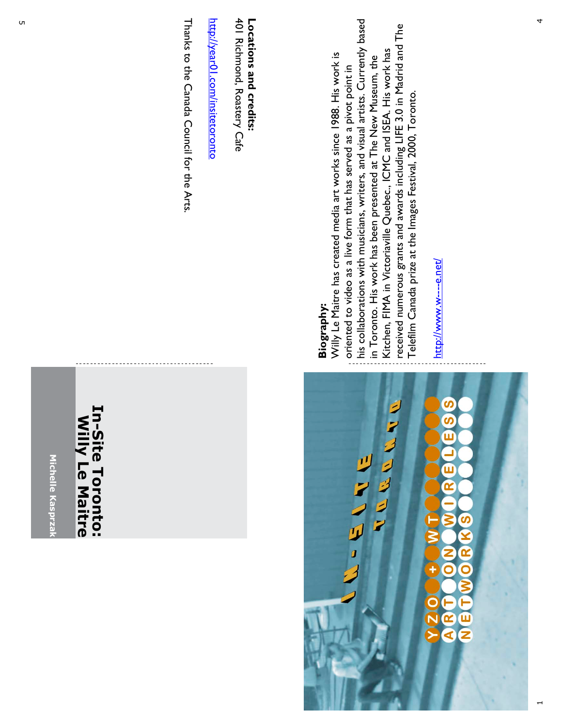## **In-Site Toronto: In-Site Toronto: Willy Le Maitre**Willy Le Maitre

Thanks to the Canada Council for the Arts. Thanks to the Canada Council for the Arts.

<u>http://year01.com/insitetoronto</u> http://year01.com/insitetoronto

401 Richmond, Roastery Cafe 401 Richmond, Roastery Cafe Locations and credits: **Locations and credits:**



## Biography: **Biography:**

his collaborations with musicians, writers, and visual artists. Currently based his collaborations with musicians, writers, and visual artists. Currently based received numerous grants and awards including LIFE 3.0 in Madrid and The received numerous grants and awards including LIFE 3.0 in Madrid and The Kitchen, FIMA in Victoriaville Quebec., ICMC and ISEA. His work has Kitchen, FIMA in Victoriaville Quebec., ICMC and ISEA. His work has Willy Le Maitre has created media art works since 1988. His work is in Toronto. His work has been presented at The New Museum, the Willy Le Maitre has created media art works since 1988. His work is in Toronto. His work has been presented at The New Museum, the oriented to video as a live form that has served as a pivot point in oriented to video as a live form that has served as a pivot point in . Telefilm Canada prize at the Images Festival, 2000, Toronto

http://www.w----e.net/ http://www.w----e.net/